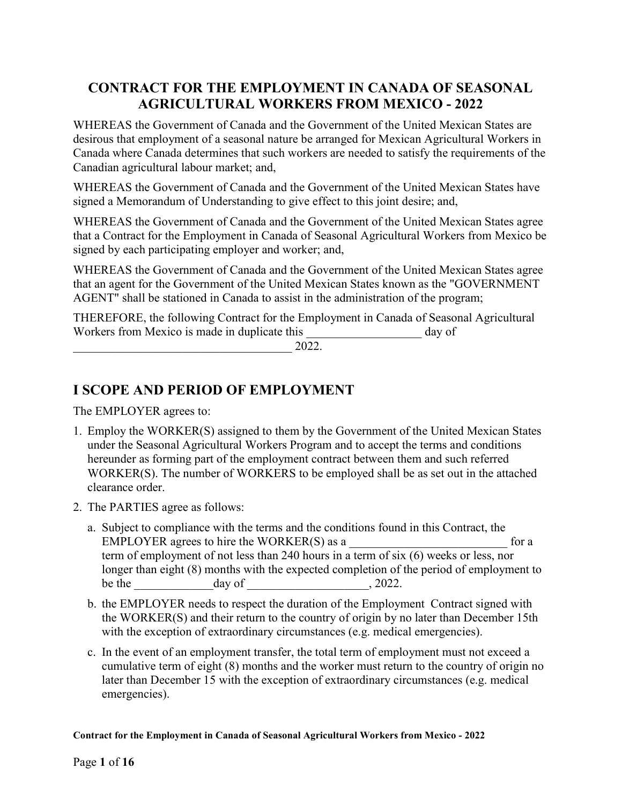# CONTRACT FOR THE EMPLOYMENT IN CANADA OF SEASONAL AGRICULTURAL WORKERS FROM MEXICO - 2022

WHEREAS the Government of Canada and the Government of the United Mexican States are desirous that employment of a seasonal nature be arranged for Mexican Agricultural Workers in Canada where Canada determines that such workers are needed to satisfy the requirements of the Canadian agricultural labour market; and,

WHEREAS the Government of Canada and the Government of the United Mexican States have signed a Memorandum of Understanding to give effect to this joint desire; and,

WHEREAS the Government of Canada and the Government of the United Mexican States agree that a Contract for the Employment in Canada of Seasonal Agricultural Workers from Mexico be signed by each participating employer and worker; and,

WHEREAS the Government of Canada and the Government of the United Mexican States agree that an agent for the Government of the United Mexican States known as the "GOVERNMENT AGENT" shall be stationed in Canada to assist in the administration of the program;

THEREFORE, the following Contract for the Employment in Canada of Seasonal Agricultural Workers from Mexico is made in duplicate this equal to the day of

 $2022.$ 

# I SCOPE AND PERIOD OF EMPLOYMENT

The EMPLOYER agrees to:

- 1. Employ the WORKER(S) assigned to them by the Government of the United Mexican States under the Seasonal Agricultural Workers Program and to accept the terms and conditions hereunder as forming part of the employment contract between them and such referred WORKER(S). The number of WORKERS to be employed shall be as set out in the attached clearance order.
- 2. The PARTIES agree as follows:
	- a. Subject to compliance with the terms and the conditions found in this Contract, the  $EMPLOYER$  agrees to hire the  $WORKER(S)$  as a  $\qquad \qquad$  for a term of employment of not less than 240 hours in a term of six (6) weeks or less, nor longer than eight (8) months with the expected completion of the period of employment to be the  $\_\_\_\_\_\_\_\_\_\_\_\_\_\_\_\_\_\_$ . 2022.
	- b. the EMPLOYER needs to respect the duration of the Employment Contract signed with the WORKER(S) and their return to the country of origin by no later than December 15th with the exception of extraordinary circumstances (e.g. medical emergencies).
	- c. In the event of an employment transfer, the total term of employment must not exceed a cumulative term of eight (8) months and the worker must return to the country of origin no later than December 15 with the exception of extraordinary circumstances (e.g. medical emergencies).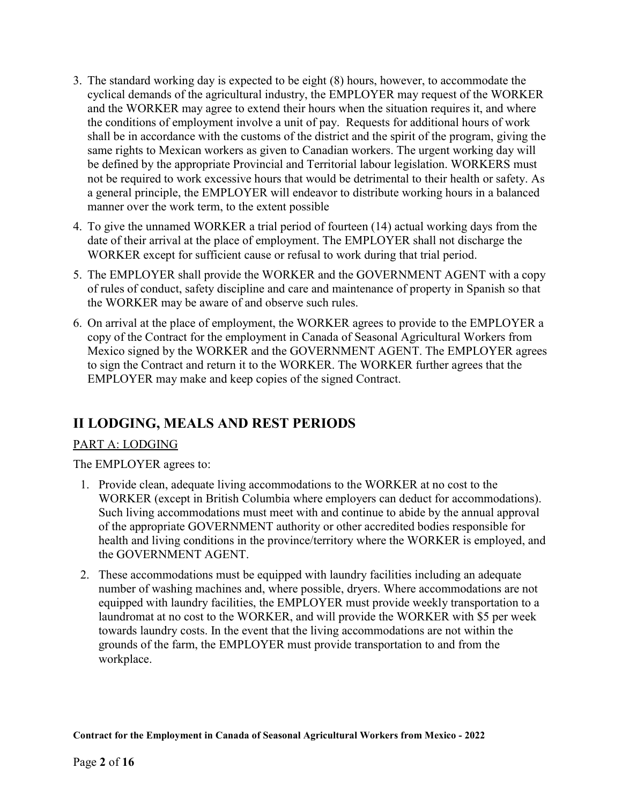- 3. The standard working day is expected to be eight (8) hours, however, to accommodate the cyclical demands of the agricultural industry, the EMPLOYER may request of the WORKER and the WORKER may agree to extend their hours when the situation requires it, and where the conditions of employment involve a unit of pay. Requests for additional hours of work shall be in accordance with the customs of the district and the spirit of the program, giving the same rights to Mexican workers as given to Canadian workers. The urgent working day will be defined by the appropriate Provincial and Territorial labour legislation. WORKERS must not be required to work excessive hours that would be detrimental to their health or safety. As a general principle, the EMPLOYER will endeavor to distribute working hours in a balanced manner over the work term, to the extent possible
- 4. To give the unnamed WORKER a trial period of fourteen (14) actual working days from the date of their arrival at the place of employment. The EMPLOYER shall not discharge the WORKER except for sufficient cause or refusal to work during that trial period.
- 5. The EMPLOYER shall provide the WORKER and the GOVERNMENT AGENT with a copy of rules of conduct, safety discipline and care and maintenance of property in Spanish so that the WORKER may be aware of and observe such rules.
- 6. On arrival at the place of employment, the WORKER agrees to provide to the EMPLOYER a copy of the Contract for the employment in Canada of Seasonal Agricultural Workers from Mexico signed by the WORKER and the GOVERNMENT AGENT. The EMPLOYER agrees to sign the Contract and return it to the WORKER. The WORKER further agrees that the EMPLOYER may make and keep copies of the signed Contract.

# II LODGING, MEALS AND REST PERIODS

### PART A: LODGING

The EMPLOYER agrees to:

- 1. Provide clean, adequate living accommodations to the WORKER at no cost to the WORKER (except in British Columbia where employers can deduct for accommodations). Such living accommodations must meet with and continue to abide by the annual approval of the appropriate GOVERNMENT authority or other accredited bodies responsible for health and living conditions in the province/territory where the WORKER is employed, and the GOVERNMENT AGENT.
- 2. These accommodations must be equipped with laundry facilities including an adequate number of washing machines and, where possible, dryers. Where accommodations are not equipped with laundry facilities, the EMPLOYER must provide weekly transportation to a laundromat at no cost to the WORKER, and will provide the WORKER with \$5 per week towards laundry costs. In the event that the living accommodations are not within the grounds of the farm, the EMPLOYER must provide transportation to and from the workplace.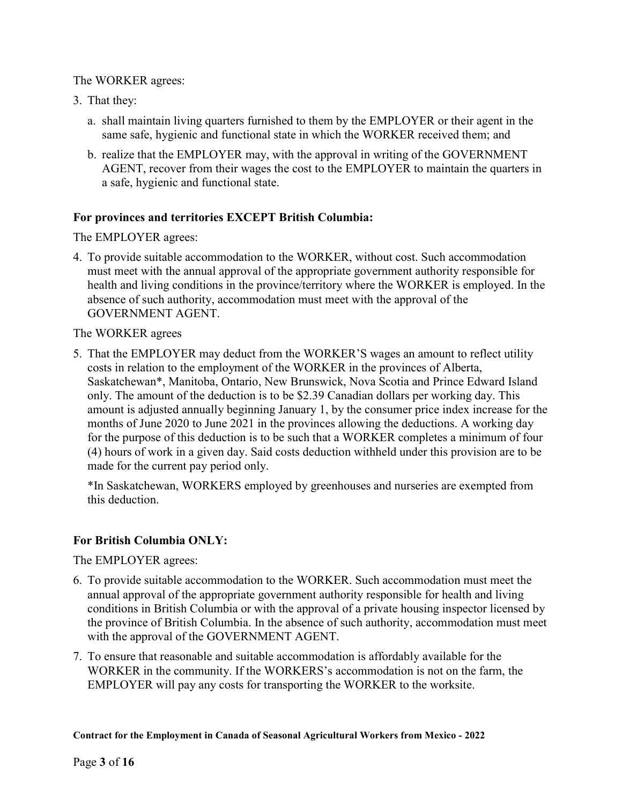#### The WORKER agrees:

- 3. That they:
	- a. shall maintain living quarters furnished to them by the EMPLOYER or their agent in the same safe, hygienic and functional state in which the WORKER received them; and
	- b. realize that the EMPLOYER may, with the approval in writing of the GOVERNMENT AGENT, recover from their wages the cost to the EMPLOYER to maintain the quarters in a safe, hygienic and functional state.

#### For provinces and territories EXCEPT British Columbia:

The EMPLOYER agrees:

4. To provide suitable accommodation to the WORKER, without cost. Such accommodation must meet with the annual approval of the appropriate government authority responsible for health and living conditions in the province/territory where the WORKER is employed. In the absence of such authority, accommodation must meet with the approval of the GOVERNMENT AGENT.

#### The WORKER agrees

5. That the EMPLOYER may deduct from the WORKER'S wages an amount to reflect utility costs in relation to the employment of the WORKER in the provinces of Alberta, Saskatchewan\*, Manitoba, Ontario, New Brunswick, Nova Scotia and Prince Edward Island only. The amount of the deduction is to be \$2.39 Canadian dollars per working day. This amount is adjusted annually beginning January 1, by the consumer price index increase for the months of June 2020 to June 2021 in the provinces allowing the deductions. A working day for the purpose of this deduction is to be such that a WORKER completes a minimum of four (4) hours of work in a given day. Said costs deduction withheld under this provision are to be made for the current pay period only.

\*In Saskatchewan, WORKERS employed by greenhouses and nurseries are exempted from this deduction.

#### For British Columbia ONLY:

The EMPLOYER agrees:

- 6. To provide suitable accommodation to the WORKER. Such accommodation must meet the annual approval of the appropriate government authority responsible for health and living conditions in British Columbia or with the approval of a private housing inspector licensed by the province of British Columbia. In the absence of such authority, accommodation must meet with the approval of the GOVERNMENT AGENT.
- 7. To ensure that reasonable and suitable accommodation is affordably available for the WORKER in the community. If the WORKERS's accommodation is not on the farm, the EMPLOYER will pay any costs for transporting the WORKER to the worksite.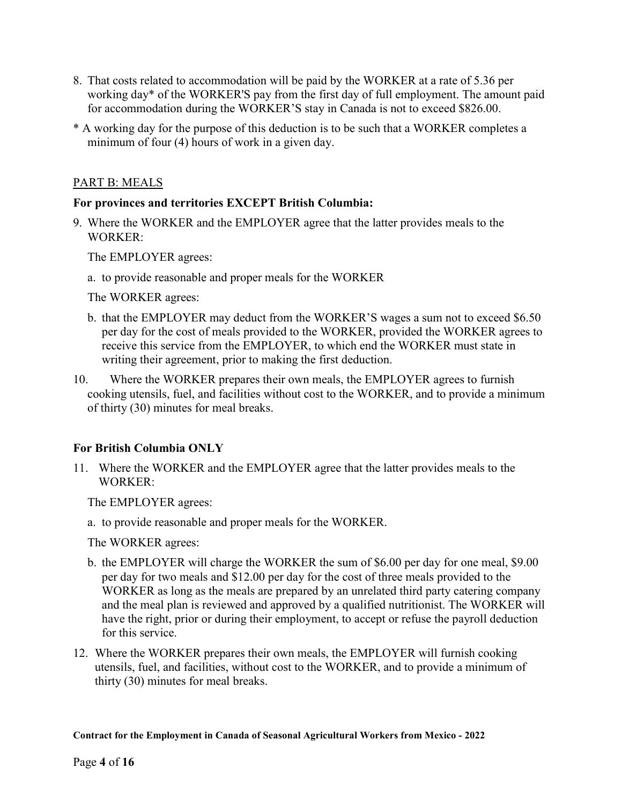- 8. That costs related to accommodation will be paid by the WORKER at a rate of 5.36 per working day\* of the WORKER'S pay from the first day of full employment. The amount paid for accommodation during the WORKER'S stay in Canada is not to exceed \$826.00.
- \* A working day for the purpose of this deduction is to be such that a WORKER completes a minimum of four (4) hours of work in a given day.

#### PART B: MEALS

#### For provinces and territories EXCEPT British Columbia:

9. Where the WORKER and the EMPLOYER agree that the latter provides meals to the WORKER:

The EMPLOYER agrees:

a. to provide reasonable and proper meals for the WORKER

The WORKER agrees:

- b. that the EMPLOYER may deduct from the WORKER'S wages a sum not to exceed \$6.50 per day for the cost of meals provided to the WORKER, provided the WORKER agrees to receive this service from the EMPLOYER, to which end the WORKER must state in writing their agreement, prior to making the first deduction.
- 10. Where the WORKER prepares their own meals, the EMPLOYER agrees to furnish cooking utensils, fuel, and facilities without cost to the WORKER, and to provide a minimum of thirty (30) minutes for meal breaks.

### For British Columbia ONLY

11. Where the WORKER and the EMPLOYER agree that the latter provides meals to the WORKER:

The EMPLOYER agrees:

a. to provide reasonable and proper meals for the WORKER.

The WORKER agrees:

- b. the EMPLOYER will charge the WORKER the sum of \$6.00 per day for one meal, \$9.00 per day for two meals and \$12.00 per day for the cost of three meals provided to the WORKER as long as the meals are prepared by an unrelated third party catering company and the meal plan is reviewed and approved by a qualified nutritionist. The WORKER will have the right, prior or during their employment, to accept or refuse the payroll deduction for this service.
- 12. Where the WORKER prepares their own meals, the EMPLOYER will furnish cooking utensils, fuel, and facilities, without cost to the WORKER, and to provide a minimum of thirty (30) minutes for meal breaks.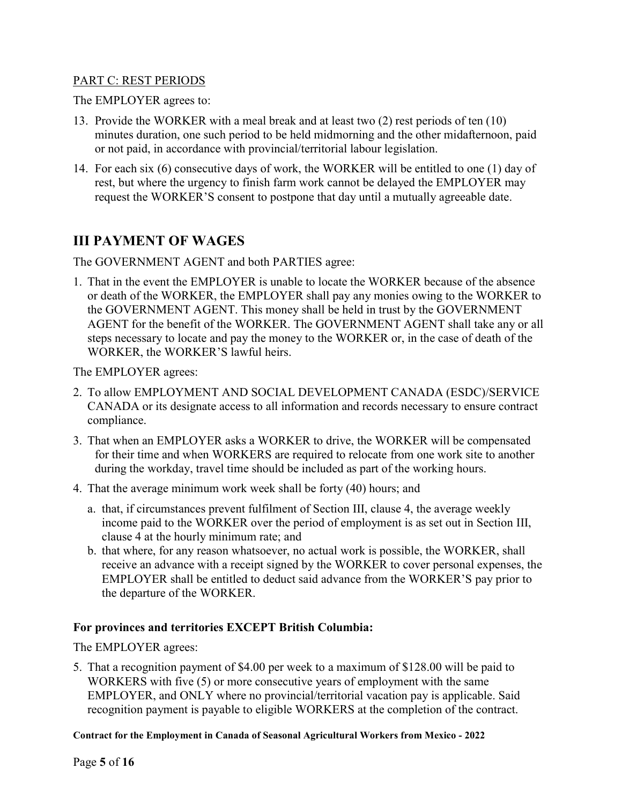#### PART C: REST PERIODS

The EMPLOYER agrees to:

- 13. Provide the WORKER with a meal break and at least two (2) rest periods of ten (10) minutes duration, one such period to be held midmorning and the other midafternoon, paid or not paid, in accordance with provincial/territorial labour legislation.
- 14. For each six (6) consecutive days of work, the WORKER will be entitled to one (1) day of rest, but where the urgency to finish farm work cannot be delayed the EMPLOYER may request the WORKER'S consent to postpone that day until a mutually agreeable date.

### III PAYMENT OF WAGES

The GOVERNMENT AGENT and both PARTIES agree:

1. That in the event the EMPLOYER is unable to locate the WORKER because of the absence or death of the WORKER, the EMPLOYER shall pay any monies owing to the WORKER to the GOVERNMENT AGENT. This money shall be held in trust by the GOVERNMENT AGENT for the benefit of the WORKER. The GOVERNMENT AGENT shall take any or all steps necessary to locate and pay the money to the WORKER or, in the case of death of the WORKER, the WORKER'S lawful heirs.

The EMPLOYER agrees:

- 2. To allow EMPLOYMENT AND SOCIAL DEVELOPMENT CANADA (ESDC)/SERVICE CANADA or its designate access to all information and records necessary to ensure contract compliance.
- 3. That when an EMPLOYER asks a WORKER to drive, the WORKER will be compensated for their time and when WORKERS are required to relocate from one work site to another during the workday, travel time should be included as part of the working hours.
- 4. That the average minimum work week shall be forty (40) hours; and
	- a. that, if circumstances prevent fulfilment of Section III, clause 4, the average weekly income paid to the WORKER over the period of employment is as set out in Section III, clause 4 at the hourly minimum rate; and
	- b. that where, for any reason whatsoever, no actual work is possible, the WORKER, shall receive an advance with a receipt signed by the WORKER to cover personal expenses, the EMPLOYER shall be entitled to deduct said advance from the WORKER'S pay prior to the departure of the WORKER.

### For provinces and territories EXCEPT British Columbia:

The EMPLOYER agrees:

5. That a recognition payment of \$4.00 per week to a maximum of \$128.00 will be paid to WORKERS with five (5) or more consecutive years of employment with the same EMPLOYER, and ONLY where no provincial/territorial vacation pay is applicable. Said recognition payment is payable to eligible WORKERS at the completion of the contract.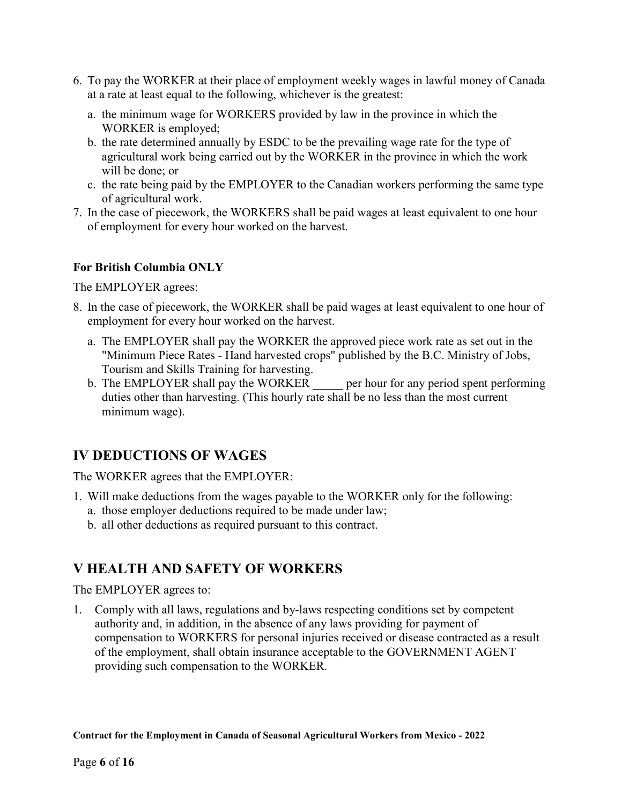- 6. To pay the WORKER at their place of employment weekly wages in lawful money of Canada at a rate at least equal to the following, whichever is the greatest:
	- a. the minimum wage for WORKERS provided by law in the province in which the WORKER is employed;
	- b. the rate determined annually by ESDC to be the prevailing wage rate for the type of agricultural work being carried out by the WORKER in the province in which the work will be done; or
	- c. the rate being paid by the EMPLOYER to the Canadian workers performing the same type of agricultural work.
- 7. In the case of piecework, the WORKERS shall be paid wages at least equivalent to one hour of employment for every hour worked on the harvest.

### For British Columbia ONLY

The EMPLOYER agrees:

- 8. In the case of piecework, the WORKER shall be paid wages at least equivalent to one hour of employment for every hour worked on the harvest.
	- a. The EMPLOYER shall pay the WORKER the approved piece work rate as set out in the "Minimum Piece Rates - Hand harvested crops" published by the B.C. Ministry of Jobs, Tourism and Skills Training for harvesting.
	- b. The EMPLOYER shall pay the WORKER per hour for any period spent performing duties other than harvesting. (This hourly rate shall be no less than the most current minimum wage).

# IV DEDUCTIONS OF WAGES

The WORKER agrees that the EMPLOYER:

- 1. Will make deductions from the wages payable to the WORKER only for the following:
	- a. those employer deductions required to be made under law;
	- b. all other deductions as required pursuant to this contract.

# V HEALTH AND SAFETY OF WORKERS

The EMPLOYER agrees to:

1. Comply with all laws, regulations and by-laws respecting conditions set by competent authority and, in addition, in the absence of any laws providing for payment of compensation to WORKERS for personal injuries received or disease contracted as a result of the employment, shall obtain insurance acceptable to the GOVERNMENT AGENT providing such compensation to the WORKER.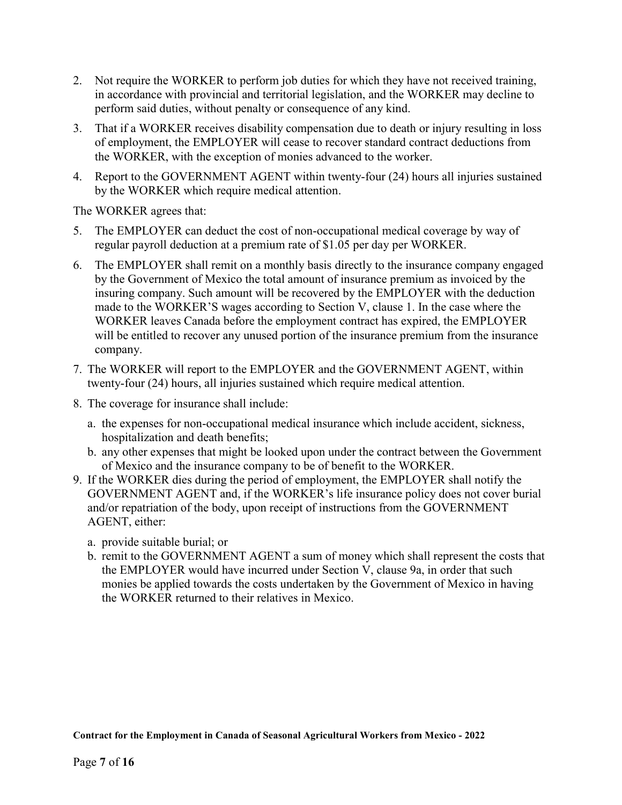- 2. Not require the WORKER to perform job duties for which they have not received training, in accordance with provincial and territorial legislation, and the WORKER may decline to perform said duties, without penalty or consequence of any kind.
- 3. That if a WORKER receives disability compensation due to death or injury resulting in loss of employment, the EMPLOYER will cease to recover standard contract deductions from the WORKER, with the exception of monies advanced to the worker.
- 4. Report to the GOVERNMENT AGENT within twenty-four (24) hours all injuries sustained by the WORKER which require medical attention.

The WORKER agrees that:

- 5. The EMPLOYER can deduct the cost of non-occupational medical coverage by way of regular payroll deduction at a premium rate of \$1.05 per day per WORKER.
- 6. The EMPLOYER shall remit on a monthly basis directly to the insurance company engaged by the Government of Mexico the total amount of insurance premium as invoiced by the insuring company. Such amount will be recovered by the EMPLOYER with the deduction made to the WORKER'S wages according to Section V, clause 1. In the case where the WORKER leaves Canada before the employment contract has expired, the EMPLOYER will be entitled to recover any unused portion of the insurance premium from the insurance company.
- 7. The WORKER will report to the EMPLOYER and the GOVERNMENT AGENT, within twenty-four (24) hours, all injuries sustained which require medical attention.
- 8. The coverage for insurance shall include:
	- a. the expenses for non-occupational medical insurance which include accident, sickness, hospitalization and death benefits;
	- b. any other expenses that might be looked upon under the contract between the Government of Mexico and the insurance company to be of benefit to the WORKER.
- 9. If the WORKER dies during the period of employment, the EMPLOYER shall notify the GOVERNMENT AGENT and, if the WORKER's life insurance policy does not cover burial and/or repatriation of the body, upon receipt of instructions from the GOVERNMENT AGENT, either:
	- a. provide suitable burial; or
	- b. remit to the GOVERNMENT AGENT a sum of money which shall represent the costs that the EMPLOYER would have incurred under Section V, clause 9a, in order that such monies be applied towards the costs undertaken by the Government of Mexico in having the WORKER returned to their relatives in Mexico.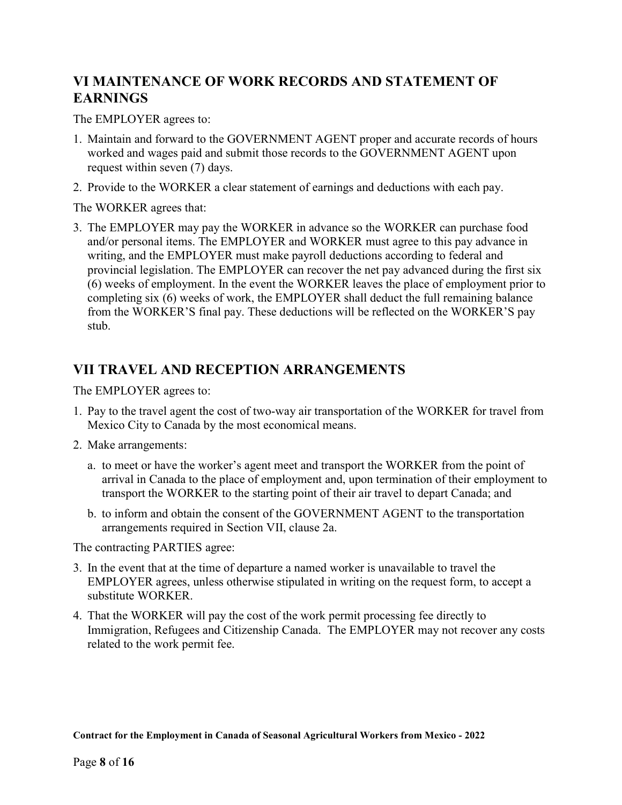# VI MAINTENANCE OF WORK RECORDS AND STATEMENT OF EARNINGS

The EMPLOYER agrees to:

- 1. Maintain and forward to the GOVERNMENT AGENT proper and accurate records of hours worked and wages paid and submit those records to the GOVERNMENT AGENT upon request within seven (7) days.
- 2. Provide to the WORKER a clear statement of earnings and deductions with each pay.

The WORKER agrees that:

3. The EMPLOYER may pay the WORKER in advance so the WORKER can purchase food and/or personal items. The EMPLOYER and WORKER must agree to this pay advance in writing, and the EMPLOYER must make payroll deductions according to federal and provincial legislation. The EMPLOYER can recover the net pay advanced during the first six (6) weeks of employment. In the event the WORKER leaves the place of employment prior to completing six (6) weeks of work, the EMPLOYER shall deduct the full remaining balance from the WORKER'S final pay. These deductions will be reflected on the WORKER'S pay stub.

## VII TRAVEL AND RECEPTION ARRANGEMENTS

The EMPLOYER agrees to:

- 1. Pay to the travel agent the cost of two-way air transportation of the WORKER for travel from Mexico City to Canada by the most economical means.
- 2. Make arrangements:
	- a. to meet or have the worker's agent meet and transport the WORKER from the point of arrival in Canada to the place of employment and, upon termination of their employment to transport the WORKER to the starting point of their air travel to depart Canada; and
	- b. to inform and obtain the consent of the GOVERNMENT AGENT to the transportation arrangements required in Section VII, clause 2a.

The contracting PARTIES agree:

- 3. In the event that at the time of departure a named worker is unavailable to travel the EMPLOYER agrees, unless otherwise stipulated in writing on the request form, to accept a substitute WORKER.
- 4. That the WORKER will pay the cost of the work permit processing fee directly to Immigration, Refugees and Citizenship Canada. The EMPLOYER may not recover any costs related to the work permit fee.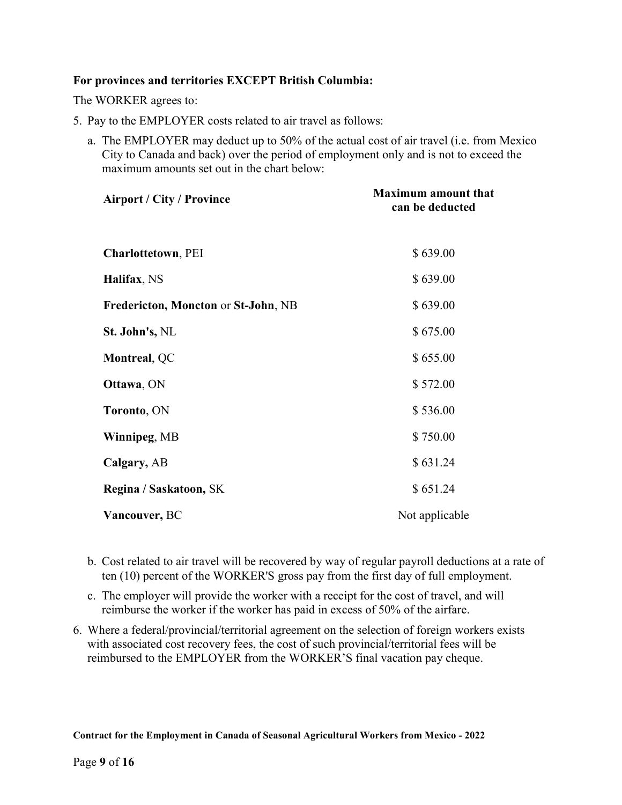#### For provinces and territories EXCEPT British Columbia:

The WORKER agrees to:

- 5. Pay to the EMPLOYER costs related to air travel as follows:
	- a. The EMPLOYER may deduct up to 50% of the actual cost of air travel (i.e. from Mexico City to Canada and back) over the period of employment only and is not to exceed the maximum amounts set out in the chart below:

| <b>Airport / City / Province</b>    | <b>Maximum amount that</b><br>can be deducted |
|-------------------------------------|-----------------------------------------------|
| <b>Charlottetown</b> , PEI          | \$639.00                                      |
| Halifax, NS                         | \$639.00                                      |
| Fredericton, Moncton or St-John, NB | \$639.00                                      |
| St. John's, NL                      | \$675.00                                      |
| Montreal, QC                        | \$655.00                                      |
| Ottawa, ON                          | \$572.00                                      |
| Toronto, ON                         | \$536.00                                      |
| Winnipeg, MB                        | \$750.00                                      |
| Calgary, AB                         | \$631.24                                      |
| Regina / Saskatoon, SK              | \$651.24                                      |
| Vancouver, BC                       | Not applicable                                |

- b. Cost related to air travel will be recovered by way of regular payroll deductions at a rate of ten (10) percent of the WORKER'S gross pay from the first day of full employment.
- c. The employer will provide the worker with a receipt for the cost of travel, and will reimburse the worker if the worker has paid in excess of 50% of the airfare.
- 6. Where a federal/provincial/territorial agreement on the selection of foreign workers exists with associated cost recovery fees, the cost of such provincial/territorial fees will be reimbursed to the EMPLOYER from the WORKER'S final vacation pay cheque.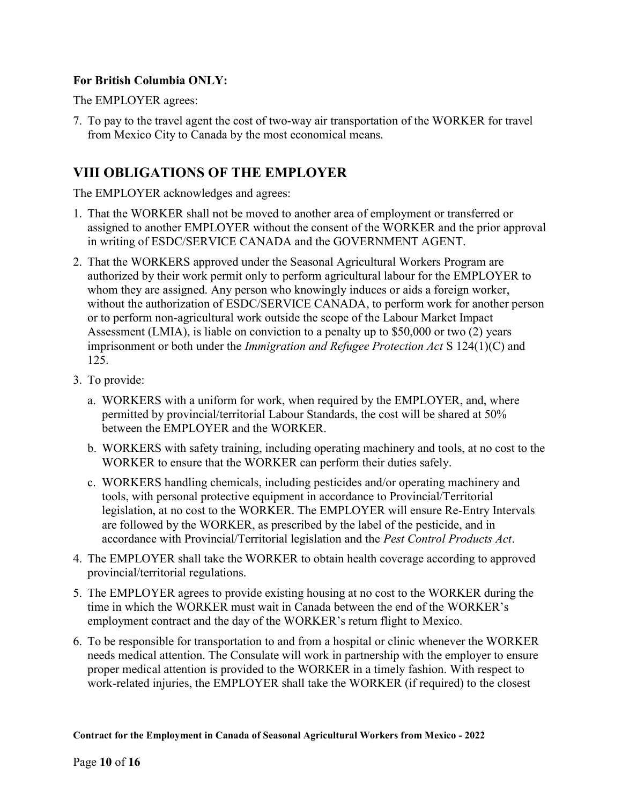### For British Columbia ONLY:

The EMPLOYER agrees:

7. To pay to the travel agent the cost of two-way air transportation of the WORKER for travel from Mexico City to Canada by the most economical means.

# VIII OBLIGATIONS OF THE EMPLOYER

The EMPLOYER acknowledges and agrees:

- 1. That the WORKER shall not be moved to another area of employment or transferred or assigned to another EMPLOYER without the consent of the WORKER and the prior approval in writing of ESDC/SERVICE CANADA and the GOVERNMENT AGENT.
- 2. That the WORKERS approved under the Seasonal Agricultural Workers Program are authorized by their work permit only to perform agricultural labour for the EMPLOYER to whom they are assigned. Any person who knowingly induces or aids a foreign worker, without the authorization of ESDC/SERVICE CANADA, to perform work for another person or to perform non-agricultural work outside the scope of the Labour Market Impact Assessment (LMIA), is liable on conviction to a penalty up to \$50,000 or two (2) years imprisonment or both under the Immigration and Refugee Protection Act S 124(1)(C) and 125.
- 3. To provide:
	- a. WORKERS with a uniform for work, when required by the EMPLOYER, and, where permitted by provincial/territorial Labour Standards, the cost will be shared at 50% between the EMPLOYER and the WORKER.
	- b. WORKERS with safety training, including operating machinery and tools, at no cost to the WORKER to ensure that the WORKER can perform their duties safely.
	- c. WORKERS handling chemicals, including pesticides and/or operating machinery and tools, with personal protective equipment in accordance to Provincial/Territorial legislation, at no cost to the WORKER. The EMPLOYER will ensure Re-Entry Intervals are followed by the WORKER, as prescribed by the label of the pesticide, and in accordance with Provincial/Territorial legislation and the Pest Control Products Act.
- 4. The EMPLOYER shall take the WORKER to obtain health coverage according to approved provincial/territorial regulations.
- 5. The EMPLOYER agrees to provide existing housing at no cost to the WORKER during the time in which the WORKER must wait in Canada between the end of the WORKER's employment contract and the day of the WORKER's return flight to Mexico.
- 6. To be responsible for transportation to and from a hospital or clinic whenever the WORKER needs medical attention. The Consulate will work in partnership with the employer to ensure proper medical attention is provided to the WORKER in a timely fashion. With respect to work-related injuries, the EMPLOYER shall take the WORKER (if required) to the closest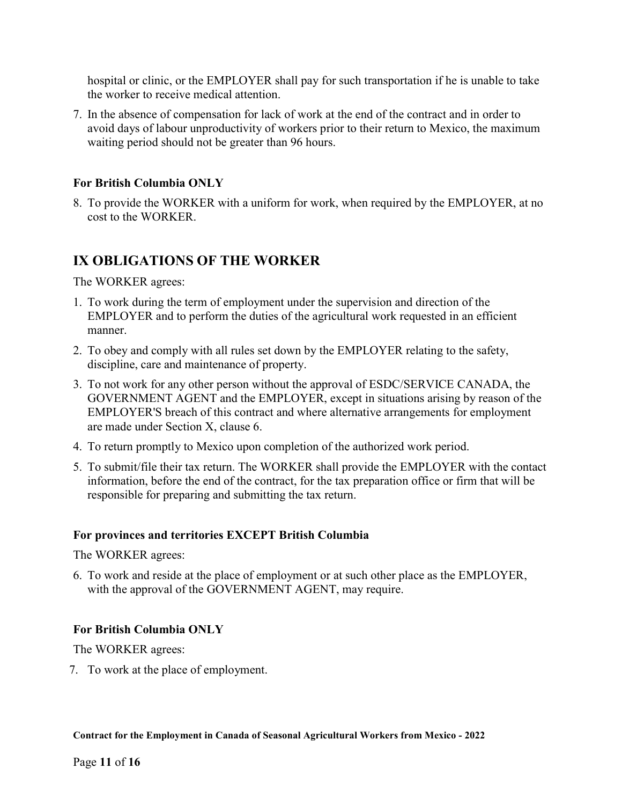hospital or clinic, or the EMPLOYER shall pay for such transportation if he is unable to take the worker to receive medical attention.

7. In the absence of compensation for lack of work at the end of the contract and in order to avoid days of labour unproductivity of workers prior to their return to Mexico, the maximum waiting period should not be greater than 96 hours.

#### For British Columbia ONLY

8. To provide the WORKER with a uniform for work, when required by the EMPLOYER, at no cost to the WORKER.

### IX OBLIGATIONS OF THE WORKER

The WORKER agrees:

- 1. To work during the term of employment under the supervision and direction of the EMPLOYER and to perform the duties of the agricultural work requested in an efficient manner.
- 2. To obey and comply with all rules set down by the EMPLOYER relating to the safety, discipline, care and maintenance of property.
- 3. To not work for any other person without the approval of ESDC/SERVICE CANADA, the GOVERNMENT AGENT and the EMPLOYER, except in situations arising by reason of the EMPLOYER'S breach of this contract and where alternative arrangements for employment are made under Section X, clause 6.
- 4. To return promptly to Mexico upon completion of the authorized work period.
- 5. To submit/file their tax return. The WORKER shall provide the EMPLOYER with the contact information, before the end of the contract, for the tax preparation office or firm that will be responsible for preparing and submitting the tax return.

#### For provinces and territories EXCEPT British Columbia

The WORKER agrees:

6. To work and reside at the place of employment or at such other place as the EMPLOYER, with the approval of the GOVERNMENT AGENT, may require.

### For British Columbia ONLY

The WORKER agrees:

7. To work at the place of employment.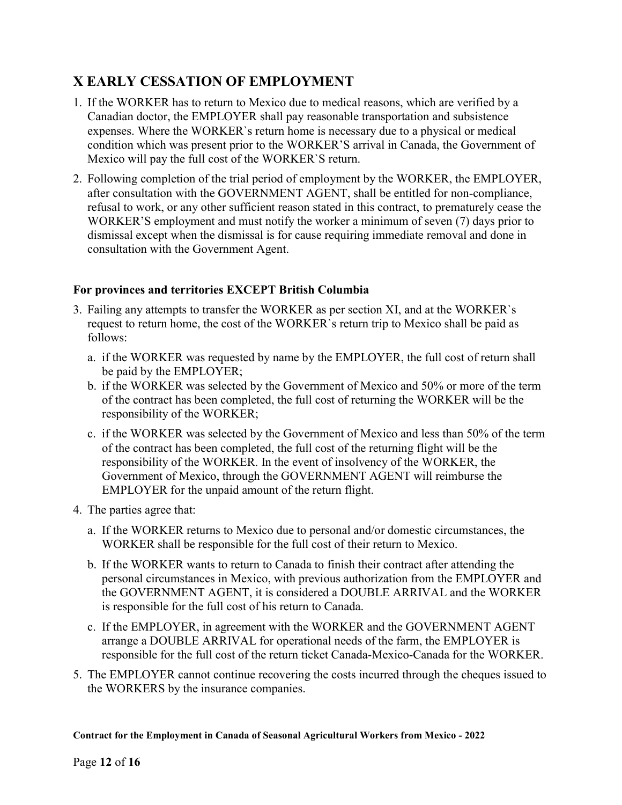# X EARLY CESSATION OF EMPLOYMENT

- 1. If the WORKER has to return to Mexico due to medical reasons, which are verified by a Canadian doctor, the EMPLOYER shall pay reasonable transportation and subsistence expenses. Where the WORKER`s return home is necessary due to a physical or medical condition which was present prior to the WORKER'S arrival in Canada, the Government of Mexico will pay the full cost of the WORKER`S return.
- 2. Following completion of the trial period of employment by the WORKER, the EMPLOYER, after consultation with the GOVERNMENT AGENT, shall be entitled for non-compliance, refusal to work, or any other sufficient reason stated in this contract, to prematurely cease the WORKER'S employment and must notify the worker a minimum of seven (7) days prior to dismissal except when the dismissal is for cause requiring immediate removal and done in consultation with the Government Agent.

### For provinces and territories EXCEPT British Columbia

- 3. Failing any attempts to transfer the WORKER as per section XI, and at the WORKER`s request to return home, the cost of the WORKER`s return trip to Mexico shall be paid as follows:
	- a. if the WORKER was requested by name by the EMPLOYER, the full cost of return shall be paid by the EMPLOYER;
	- b. if the WORKER was selected by the Government of Mexico and 50% or more of the term of the contract has been completed, the full cost of returning the WORKER will be the responsibility of the WORKER;
	- c. if the WORKER was selected by the Government of Mexico and less than 50% of the term of the contract has been completed, the full cost of the returning flight will be the responsibility of the WORKER. In the event of insolvency of the WORKER, the Government of Mexico, through the GOVERNMENT AGENT will reimburse the EMPLOYER for the unpaid amount of the return flight.
- 4. The parties agree that:
	- a. If the WORKER returns to Mexico due to personal and/or domestic circumstances, the WORKER shall be responsible for the full cost of their return to Mexico.
	- b. If the WORKER wants to return to Canada to finish their contract after attending the personal circumstances in Mexico, with previous authorization from the EMPLOYER and the GOVERNMENT AGENT, it is considered a DOUBLE ARRIVAL and the WORKER is responsible for the full cost of his return to Canada.
	- c. If the EMPLOYER, in agreement with the WORKER and the GOVERNMENT AGENT arrange a DOUBLE ARRIVAL for operational needs of the farm, the EMPLOYER is responsible for the full cost of the return ticket Canada-Mexico-Canada for the WORKER.
- 5. The EMPLOYER cannot continue recovering the costs incurred through the cheques issued to the WORKERS by the insurance companies.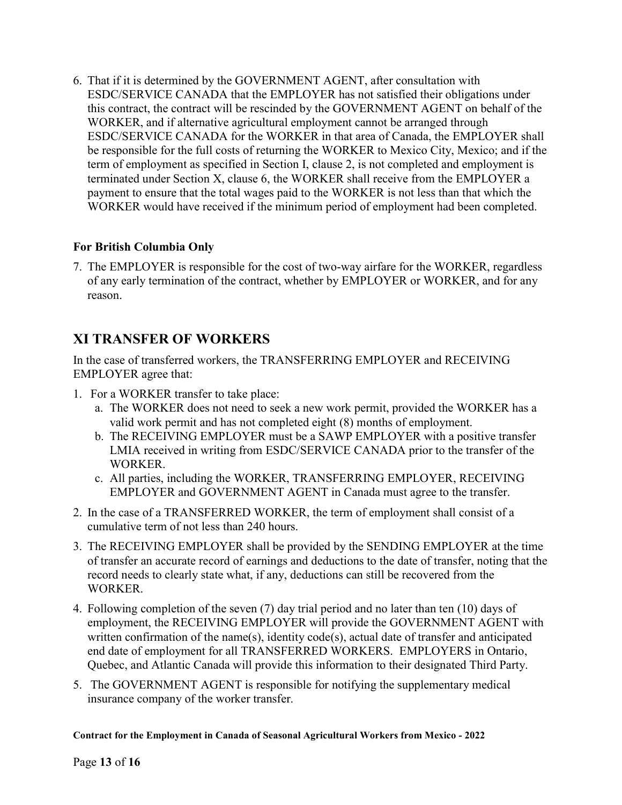6. That if it is determined by the GOVERNMENT AGENT, after consultation with ESDC/SERVICE CANADA that the EMPLOYER has not satisfied their obligations under this contract, the contract will be rescinded by the GOVERNMENT AGENT on behalf of the WORKER, and if alternative agricultural employment cannot be arranged through ESDC/SERVICE CANADA for the WORKER in that area of Canada, the EMPLOYER shall be responsible for the full costs of returning the WORKER to Mexico City, Mexico; and if the term of employment as specified in Section I, clause 2, is not completed and employment is terminated under Section X, clause 6, the WORKER shall receive from the EMPLOYER a payment to ensure that the total wages paid to the WORKER is not less than that which the WORKER would have received if the minimum period of employment had been completed.

### For British Columbia Only

7. The EMPLOYER is responsible for the cost of two-way airfare for the WORKER, regardless of any early termination of the contract, whether by EMPLOYER or WORKER, and for any reason.

# XI TRANSFER OF WORKERS

In the case of transferred workers, the TRANSFERRING EMPLOYER and RECEIVING EMPLOYER agree that:

- 1. For a WORKER transfer to take place:
	- a. The WORKER does not need to seek a new work permit, provided the WORKER has a valid work permit and has not completed eight (8) months of employment.
	- b. The RECEIVING EMPLOYER must be a SAWP EMPLOYER with a positive transfer LMIA received in writing from ESDC/SERVICE CANADA prior to the transfer of the WORKER.
	- c. All parties, including the WORKER, TRANSFERRING EMPLOYER, RECEIVING EMPLOYER and GOVERNMENT AGENT in Canada must agree to the transfer.
- 2. In the case of a TRANSFERRED WORKER, the term of employment shall consist of a cumulative term of not less than 240 hours.
- 3. The RECEIVING EMPLOYER shall be provided by the SENDING EMPLOYER at the time of transfer an accurate record of earnings and deductions to the date of transfer, noting that the record needs to clearly state what, if any, deductions can still be recovered from the WORKER.
- 4. Following completion of the seven (7) day trial period and no later than ten (10) days of employment, the RECEIVING EMPLOYER will provide the GOVERNMENT AGENT with written confirmation of the name(s), identity code(s), actual date of transfer and anticipated end date of employment for all TRANSFERRED WORKERS. EMPLOYERS in Ontario, Quebec, and Atlantic Canada will provide this information to their designated Third Party.
- 5. The GOVERNMENT AGENT is responsible for notifying the supplementary medical insurance company of the worker transfer.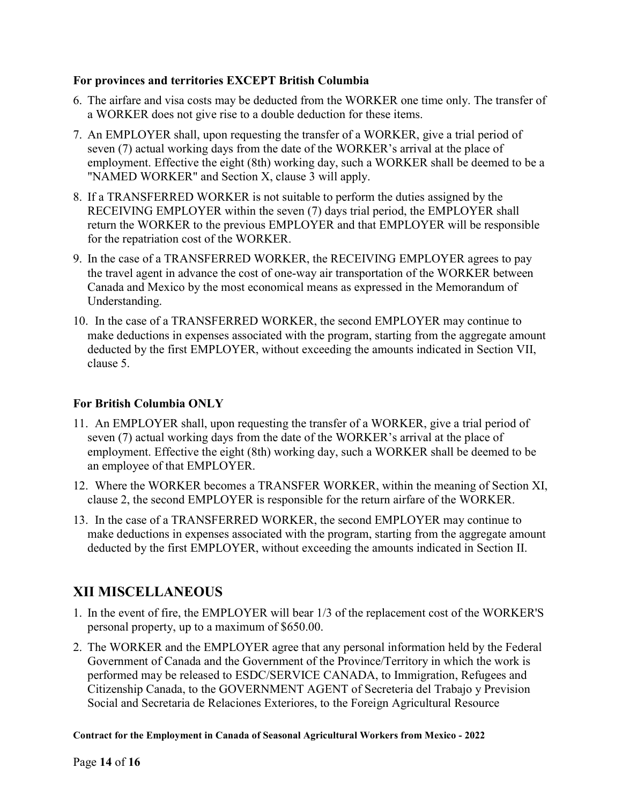#### For provinces and territories EXCEPT British Columbia

- 6. The airfare and visa costs may be deducted from the WORKER one time only. The transfer of a WORKER does not give rise to a double deduction for these items.
- 7. An EMPLOYER shall, upon requesting the transfer of a WORKER, give a trial period of seven (7) actual working days from the date of the WORKER's arrival at the place of employment. Effective the eight (8th) working day, such a WORKER shall be deemed to be a "NAMED WORKER" and Section X, clause 3 will apply.
- 8. If a TRANSFERRED WORKER is not suitable to perform the duties assigned by the RECEIVING EMPLOYER within the seven (7) days trial period, the EMPLOYER shall return the WORKER to the previous EMPLOYER and that EMPLOYER will be responsible for the repatriation cost of the WORKER.
- 9. In the case of a TRANSFERRED WORKER, the RECEIVING EMPLOYER agrees to pay the travel agent in advance the cost of one-way air transportation of the WORKER between Canada and Mexico by the most economical means as expressed in the Memorandum of Understanding.
- 10. In the case of a TRANSFERRED WORKER, the second EMPLOYER may continue to make deductions in expenses associated with the program, starting from the aggregate amount deducted by the first EMPLOYER, without exceeding the amounts indicated in Section VII, clause 5.

### For British Columbia ONLY

- 11. An EMPLOYER shall, upon requesting the transfer of a WORKER, give a trial period of seven (7) actual working days from the date of the WORKER's arrival at the place of employment. Effective the eight (8th) working day, such a WORKER shall be deemed to be an employee of that EMPLOYER.
- 12. Where the WORKER becomes a TRANSFER WORKER, within the meaning of Section XI, clause 2, the second EMPLOYER is responsible for the return airfare of the WORKER.
- 13. In the case of a TRANSFERRED WORKER, the second EMPLOYER may continue to make deductions in expenses associated with the program, starting from the aggregate amount deducted by the first EMPLOYER, without exceeding the amounts indicated in Section II.

# XII MISCELLANEOUS

- 1. In the event of fire, the EMPLOYER will bear 1/3 of the replacement cost of the WORKER'S personal property, up to a maximum of \$650.00.
- 2. The WORKER and the EMPLOYER agree that any personal information held by the Federal Government of Canada and the Government of the Province/Territory in which the work is performed may be released to ESDC/SERVICE CANADA, to Immigration, Refugees and Citizenship Canada, to the GOVERNMENT AGENT of Secreteria del Trabajo y Prevision Social and Secretaria de Relaciones Exteriores, to the Foreign Agricultural Resource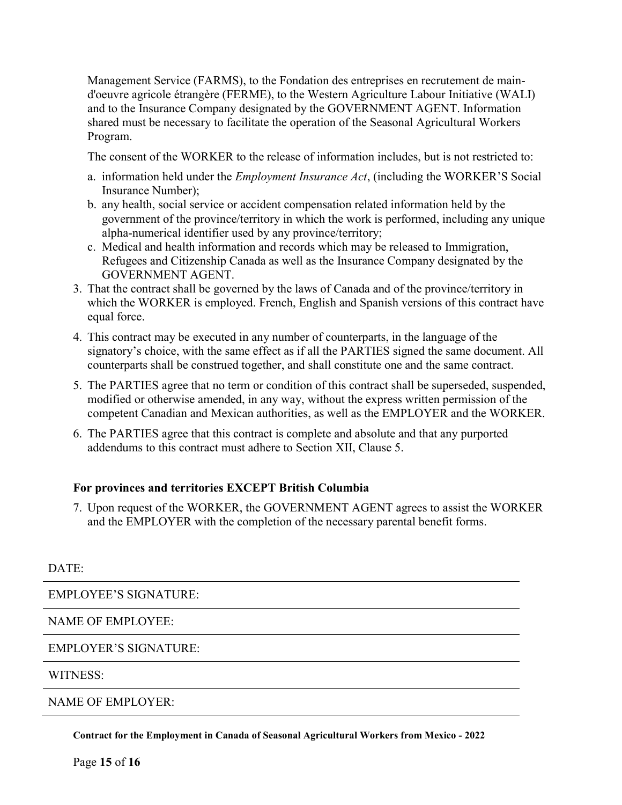Management Service (FARMS), to the Fondation des entreprises en recrutement de maind'oeuvre agricole étrangère (FERME), to the Western Agriculture Labour Initiative (WALI) and to the Insurance Company designated by the GOVERNMENT AGENT. Information shared must be necessary to facilitate the operation of the Seasonal Agricultural Workers Program.

The consent of the WORKER to the release of information includes, but is not restricted to:

- a. information held under the Employment Insurance Act, (including the WORKER'S Social Insurance Number);
- b. any health, social service or accident compensation related information held by the government of the province/territory in which the work is performed, including any unique alpha-numerical identifier used by any province/territory;
- c. Medical and health information and records which may be released to Immigration, Refugees and Citizenship Canada as well as the Insurance Company designated by the GOVERNMENT AGENT.
- 3. That the contract shall be governed by the laws of Canada and of the province/territory in which the WORKER is employed. French, English and Spanish versions of this contract have equal force.
- 4. This contract may be executed in any number of counterparts, in the language of the signatory's choice, with the same effect as if all the PARTIES signed the same document. All counterparts shall be construed together, and shall constitute one and the same contract.
- 5. The PARTIES agree that no term or condition of this contract shall be superseded, suspended, modified or otherwise amended, in any way, without the express written permission of the competent Canadian and Mexican authorities, as well as the EMPLOYER and the WORKER.
- 6. The PARTIES agree that this contract is complete and absolute and that any purported addendums to this contract must adhere to Section XII, Clause 5.

### For provinces and territories EXCEPT British Columbia

7. Upon request of the WORKER, the GOVERNMENT AGENT agrees to assist the WORKER and the EMPLOYER with the completion of the necessary parental benefit forms.

### DATE:

EMPLOYEE'S SIGNATURE:

### NAME OF EMPLOYEE:

#### EMPLOYER'S SIGNATURE:

#### WITNESS:

NAME OF EMPLOYER: